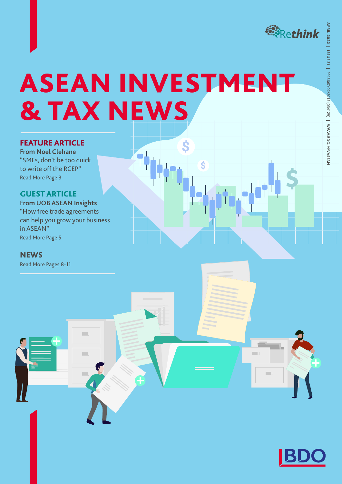

<u>, ILS</u>

m.

m.

APRIL 2022 |

**ISSUE 31**|

PP18667/02/2015 (034129)

 $\overline{\phantom{0}}$ 

**WWW.BDO.MY/ASEAN**

# ASEAN INVESTMENT & TAX NEWS

### FEATURE ARTICLE

**From Noel Clehane** "SMEs, don't be too quick to write off the RCEP" Read More Page 3

### GUEST ARTICLE

**From UOB ASEAN Insights**  "How free trade agreements can help you grow your business in ASEAN" Read More Page 5

**In D** 

m.

m.

### **NEWS**

Read More Pages 8-11

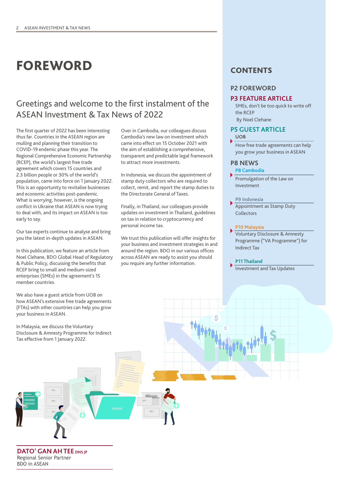# FOREWORD

### Greetings and welcome to the first instalment of the ASEAN Investment & Tax News of 2022

The first quarter of 2022 has been interesting thus far. Countries in the ASEAN region are mulling and planning their transition to COVID-19 endemic phase this year. The Regional Comprehensive Economic Partnership (RCEP), the world's largest free trade agreement which covers 15 countries and 2.3 billion people or 30% of the world's population, came into force on 1 January 2022. This is an opportunity to revitalise businesses and economic activities post-pandemic. What is worrying, however, is the ongoing conflict in Ukraine that ASEAN is now trying to deal with, and its impact on ASEAN is too early to say.

Our tax experts continue to analyse and bring you the latest in-depth updates in ASEAN.

In this publication, we feature an article from Noel Clehane, BDO Global Head of Regulatory & Public Policy, discussing the benefits that RCEP bring to small and medium-sized enterprises (SMEs) in the agreement's 15 member countries.

We also have a guest article from UOB on how ASEAN's extensive free trade agreements (FTAs) with other countries can help you grow your business in ASEAN.

In Malaysia, we discuss the Voluntary Disclosure & Amnesty Programme for Indirect Tax effective from 1 January 2022.

Over in Cambodia, our colleagues discuss Cambodia's new law on investment which came into effect on 15 October 2021 with the aim of establishing a comprehensive, transparent and predictable legal framework to attract more investments.

In Indonesia, we discuss the appointment of stamp duty collectors who are required to collect, remit, and report the stamp duties to the Directorate General of Taxes.

Finally, in Thailand, our colleagues provide updates on investment in Thailand, guidelines on tax in relation to cryptocurrency and personal income tax.

We trust this publication will offer insights for your business and investment strategies in and around the region. BDO in our various offices across ASEAN are ready to assist you should you require any further information.

### **CONTENTS**

### **P2 FOREWORD**

### **P3 FEATURE ARTICLE**

SMEs, don't be too quick to write off the RCEP By Noel Clehane

### **P5 GUEST ARTICLE**

### **UOB**

How free trade agreements can help you grow your business in ASEAN

### **P8 NEWS**

**P8 Cambodia**

Promulgation of the Law on Investment

**P9 Indonesia**

Appointment as Stamp Duty Collectors

### **P10 Malaysia**

Voluntary Disclosure & Amnesty Programme ("VA Programme") for Indirect Tax

### **P11 Thailand**

Investment and Tax Updates

**DATO' GAN AH TEE** DNS IP Regional Senior Partner BDO in ASEAN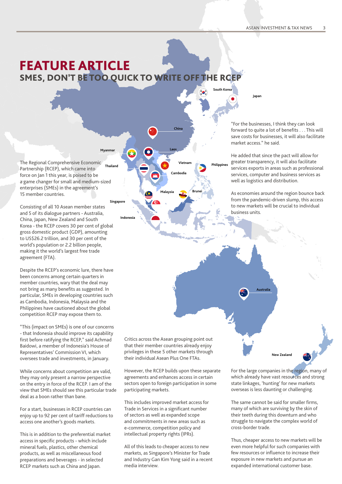## FEATURE ARTICLE SMES, DON'T BE TOO QUICK TO WRITE OFF THE RCE

**Myanmar**

**Singapo** 

**Indonesia**

**Japan**

**South Korea**

**Philippines**

**Vietnam Thailand** The Regional Comprehensive Economic Partnership (RCEP), which came into force on Jan 1 this year, is poised to be a game changer for small and medium-sized enterprises (SMEs) in the agreement's 15 member countries.

Consisting of all 10 Asean member states and 5 of its dialogue partners - Australia, China, Japan, New Zealand and South Korea - the RCEP covers 30 per cent of global gross domestic product (GDP), amounting to US\$26.2 trillion, and 30 per cent of the world's population or 2.2 billion people, making it the world's largest free trade agreement (FTA).

Despite the RCEP's economic lure, there have been concerns among certain quarters in member countries, wary that the deal may not bring as many benefits as suggested. In particular, SMEs in developing countries such as Cambodia, Indonesia, Malaysia and the Philippines have cautioned about the global competition RCEP may expose them to.

"This (impact on SMEs) is one of our concerns - that Indonesia should improve its capability first before ratifying the RCEP," said Achmad Baidowi, a member of Indonesia's House of Representatives' Commission VI, which oversees trade and investments, in January.

While concerns about competition are valid, they may only present a narrow perspective on the entry in force of the RCEP. I am of the view that SMEs should see this particular trade deal as a boon rather than bane.

For a start, businesses in RCEP countries can enjoy up to 92 per cent of tariff reductions to access one another's goods markets.

This is in addition to the preferential market access in specific products - which include mineral fuels, plastics, other chemical products, as well as miscellaneous food preparations and beverages - in selected RCEP markets such as China and Japan.

Critics across the Asean grouping point out that their member countries already enjoy privileges in these 5 other markets through their individual Asean Plus One FTAs.

**Laos**

**Malaysia**

**China**

**Cambodia**

**Brunei**

However, the RCEP builds upon these separate agreements and enhances access in certain sectors open to foreign participation in some participating markets.

This includes improved market access for Trade in Services in a significant number of sectors as well as expanded scope and commitments in new areas such as e-commerce, competition policy and intellectual property rights (IPRs).

All of this leads to cheaper access to new markets, as Singapore's Minister for Trade and Industry Gan Kim Yong said in a recent media interview.

"For the businesses, I think they can look forward to quite a lot of benefits . . . This will save costs for businesses, it will also facilitate market access." he said.

He added that since the pact will allow for greater transparency, it will also facilitate services exports in areas such as professional services, computer and business services as well as logistics and distribution.

As economies around the region bounce back from the pandemic-driven slump, this access to new markets will be crucial to individual business units.

**Australia**

For the large companies in the region, many of which already have vast resources and strong state linkages, 'hunting' for new markets overseas is less daunting or challenging.

**New Zealand**

The same cannot be said for smaller firms, many of which are surviving by the skin of their teeth during this downturn and who struggle to navigate the complex world of cross-border trade.

Thus, cheaper access to new markets will be even more helpful for such companies with few resources or influence to increase their exposure in new markets and pursue an expanded international customer base.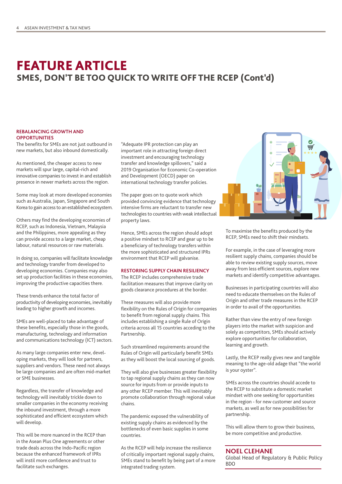### FEATURE ARTICLE SMES, DON'T BE TOO QUICK TO WRITE OFF THE RCEP (Cont'd)

### **REBALANCING GROWTH AND OPPORTUNITIES**

The benefits for SMEs are not just outbound in new markets, but also inbound domestically.

As mentioned, the cheaper access to new markets will spur large, capital-rich and innovative companies to invest in and establish presence in newer markets across the region.

Some may look at more developed economies such as Australia, Japan, Singapore and South Korea to gain access to an established ecosystem.

Others may find the developing economies of RCEP, such as Indonesia, Vietnam, Malaysia and the Philippines, more appealing as they can provide access to a large market, cheap labour, natural resources or raw materials.

In doing so, companies will facilitate knowledge and technology transfer from developed to developing economies. Companies may also set up production facilities in these economies, improving the productive capacities there.

These trends enhance the total factor of productivity of developing economies, inevitably leading to higher growth and incomes.

SMEs are well-placed to take advantage of these benefits, especially those in the goods, manufacturing, technology and information and communications technology (ICT) sectors.

As many large companies enter new, developing markets, they will look for partners, suppliers and vendors. These need not always be large companies and are often mid-market or SME businesses.

Regardless, the transfer of knowledge and technology will inevitably trickle down to smaller companies in the economy receiving the inbound investment, through a more sophisticated and efficient ecosystem which will develop.

This will be more nuanced in the RCEP than in the Asean Plus One agreements or other trade deals across the Indo-Pacific region because the enhanced framework of IPRs will instil more confidence and trust to facilitate such exchanges.

"Adequate IPR protection can play an important role in attracting foreign direct investment and encouraging technology transfer and knowledge spillovers," said a 2019 Organisation for Economic Co-operation and Development (OECD) paper on international technology transfer policies.

The paper goes on to quote work which provided convincing evidence that technology intensive firms are reluctant to transfer new technologies to countries with weak intellectual property laws.

Hence, SMEs across the region should adopt a positive mindset to RCEP and gear up to be a beneficiary of technology transfers within the more sophisticated and structured IPRs environment that RCEP will galvanise.

#### **RESTORING SUPPLY CHAIN RESILIENCY**

The RCEP includes comprehensive trade facilitation measures that improve clarity on goods clearance procedures at the border.

These measures will also provide more flexibility on the Rules of Origin for companies to benefit from regional supply chains. This includes establishing a single Rule of Origin criteria across all 15 countries acceding to the Partnership.

Such streamlined requirements around the Rules of Origin will particularly benefit SMEs as they will boost the local sourcing of goods.

They will also give businesses greater flexibility to tap regional supply chains as they can now source for inputs from or provide inputs to any other RCEP member. This will inevitably promote collaboration through regional value chains.

The pandemic exposed the vulnerability of existing supply chains as evidenced by the bottlenecks of even basic supplies in some countries.

As the RCEP will help increase the resilience of critically important regional supply chains, SMEs stand to benefit by being part of a more integrated trading system.



To maximise the benefits produced by the RCEP, SMEs need to shift their mindsets.

For example, in the case of leveraging more resilient supply chains, companies should be able to review existing supply sources, move away from less efficient sources, explore new markets and identify competitive advantages.

Businesses in participating countries will also need to educate themselves on the Rules of Origin and other trade measures in the RCEP in order to avail of the opportunities.

Rather than view the entry of new foreign players into the market with suspicion and solely as competitors, SMEs should actively explore opportunities for collaboration, learning and growth.

Lastly, the RCEP really gives new and tangible meaning to the age-old adage that "the world is your oyster".

SMEs across the countries should accede to the RCEP to substitute a domestic market mindset with one seeking for opportunities in the region - for new customer and source markets, as well as for new possibilities for partnership.

This will allow them to grow their business, be more competitive and productive.

### **NOEL CLEHANE**

Global Head of Regulatory & Public Policy BDO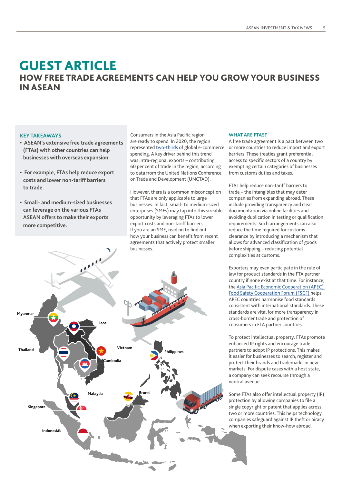### GUEST ARTICLE HOW FREE TRADE AGREEMENTS CAN HELP YOU GROW YOUR BUSINESS IN ASEAN

### **KEY TAKEAWAYS**

- **ASEAN's extensive free trade agreements (FTAs) with other countries can help businesses with overseas expansion.**
- **For example, FTAs help reduce export costs and lower non-tariff barriers to trade.**
- **Small- and medium-sized businesses can leverage on the various FTAs ASEAN offers to make their exports more competitive.**

Consumers in the Asia Pacific region are ready to spend. In 2020, the region represented [two-thirds](https://www.uob.com.sg/uobgroup/url-redirection.page?reURL=https://www.statista.com/statistics/311357/sales-of-e-commerce-worldwide-by-region/&adobe_mc=MCMID%3D43444235945290342982978818982688821231%7CMCORGID%3D116168F454E6DA2A0A4C98A6%2540AdobeOrg%7CTS%3D1646299716) of global e-commerce spending. A key driver behind this trend was intra-regional exports – contributing 60 per cent of trade in the region, according to data from the United Nations Conference on Trade and Development (UNCTAD).

However, there is a common misconception that FTAs are only applicable to large businesses. In fact, small- to medium-sized enterprises (SMEs) may tap into this sizeable opportunity by leveraging FTAs to lower export costs and non-tariff barriers. If you are an SME, read on to find out how your business can benefit from recent agreements that actively protect smaller businesses.



### **WHAT ARE FTAS?**

A free trade agreement is a pact between two or more countries to reduce import and export barriers. These treaties grant preferential access to specific sectors of a country by exempting certain categories of businesses from customs duties and taxes.

FTAs help reduce non-tariff barriers to trade – the intangibles that may deter companies from expanding abroad. These include providing transparency and clear documentation via online facilities and avoiding duplication in testing or qualification requirements. Such arrangements can also reduce the time required for customs clearance by introducing a mechanism that allows for advanced classification of goods before shipping – reducing potential complexities at customs.

Exporters may even participate in the rule of law for product standards in the FTA partner country if none exist at that time. For instance, the [Asia Pacific Economic Cooperation \(APEC\)](https://www.uob.com.sg/uobgroup/url-redirection.page?reURL=http://fscf-ptin.apec.org/&adobe_mc=MCMID%3D43444235945290342982978818982688821231%7CMCORGID%3D116168F454E6DA2A0A4C98A6%2540AdobeOrg%7CTS%3D1646299716)  [Food Safety Cooperation Forum \(FSCF\) h](https://www.uob.com.sg/uobgroup/url-redirection.page?reURL=http://fscf-ptin.apec.org/&adobe_mc=MCMID%3D43444235945290342982978818982688821231%7CMCORGID%3D116168F454E6DA2A0A4C98A6%2540AdobeOrg%7CTS%3D1646299716)elps APEC countries harmonise food standards consistent with international standards. These standards are vital for more transparency in cross-border trade and protection of consumers in FTA partner countries.

To protect intellectual property, FTAs promote enhanced IP rights and encourage trade partners to adopt IP protections. This makes it easier for businesses to search, register and protect their brands and trademarks in new markets. For dispute cases with a host state, a company can seek recourse through a neutral avenue.

Some FTAs also offer intellectual property (IP) protection by allowing companies to file a single copyright or patent that applies across two or more countries. This helps technology companies safeguard against IP theft or piracy when exporting their know-how abroad.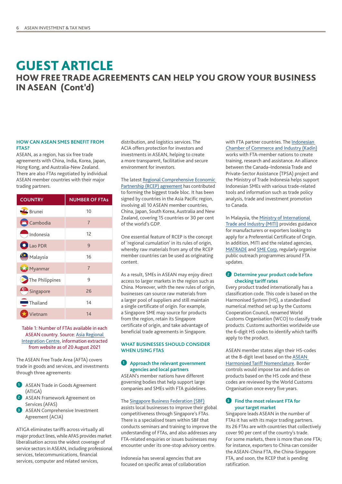### HOW FREE TRADE AGREEMENTS CAN HELP YOU GROW YOUR BUSINESS IN ASEAN (Cont'd) GUEST ARTICLE

### **HOW CAN ASEAN SMES BENEFIT FROM FTAS?**

ASEAN, as a region, has six free trade agreements with China, India, Korea, Japan, Hong Kong, and Australia-New Zealand. There are also FTAs negotiated by individual ASEAN member countries with their major trading partners.

| <b>COUNTRY</b>          | <b>NUMBER OF FTAS</b> |
|-------------------------|-----------------------|
| <b>Er</b> Brunei        | 10                    |
| <b>T</b> Cambodia       | $\overline{7}$        |
| $\rightarrow$ Indonesia | 12                    |
| Lao PDR                 | 9                     |
| Malaysia                | 16                    |
| Myanmar                 | $\overline{7}$        |
| The Philippines         | 9                     |
| Singapore               | 26                    |
| Thailand                | 14                    |
| Vietnam                 | 14                    |

### Table 1: Number of FTAs available in each ASEAN country. Source: [Asia Regional](https://www.uob.com.sg/uobgroup/url-redirection.page?reURL=https://aric.adb.org/fta-country&adobe_mc=MCMID%3D43444235945290342982978818982688821231%7CMCORGID%3D116168F454E6DA2A0A4C98A6%2540AdobeOrg%7CTS%3D1646299716)  [Integration Centre,](https://www.uob.com.sg/uobgroup/url-redirection.page?reURL=https://aric.adb.org/fta-country&adobe_mc=MCMID%3D43444235945290342982978818982688821231%7CMCORGID%3D116168F454E6DA2A0A4C98A6%2540AdobeOrg%7CTS%3D1646299716) information extracted from website as of 20 August 2021

The ASEAN Free Trade Area (AFTA) covers trade in goods and services, and investments through three agreements:

- **1** ASEAN Trade in Goods Agreement (ATIGA)
- **2** ASEAN Framework Agreement on Services (AFAS)
- **3** ASEAN Comprehensive Investment Agreement (ACIA)

ATIGA eliminates tariffs across virtually all major product lines, while AFAS provides market liberalisation across the widest coverage of service sectors in ASEAN, including professional services, telecommunications, financial services, computer and related services,

distribution, and logistics services. The ACIA offers protection for investors and investments in ASEAN, helping to create a more transparent, facilitative and secure environment for investors.

The latest [Regional Comprehensive Economic](https://www.uobgroup.com/asean-insights/markets/regional-economic-prospects-driven-by-rcep.page?path=data/ai/31&cr=segment)  [Partnership \(RCEP\) agreement](https://www.uobgroup.com/asean-insights/markets/regional-economic-prospects-driven-by-rcep.page?path=data/ai/31&cr=segment) has contributed to forming the biggest trade bloc. It has been signed by countries in the Asia Pacific region, involving all 10 ASEAN member countries, China, Japan, South Korea, Australia and New Zealand, covering 15 countries or 30 per cent of the world's GDP.

One essential feature of RCEP is the concept of 'regional cumulation' in its rules of origin, whereby raw materials from any of the RCEP member countries can be used as originating content.

As a result, SMEs in ASEAN may enjoy direct access to larger markets in the region such as China. Moreover, with the new rules of origin, businesses can source raw materials from a larger pool of suppliers and still maintain a single certificate of origin. For example, a Singapore SME may source for products from the region, retain its Singapore certificate of origin, and take advantage of beneficial trade agreements in Singapore.

### **WHAT BUSINESSES SHOULD CONSIDER WHEN USING FTAS**

### **1 Approach the relevant government agencies and local partners**

ASEAN's member nations have different governing bodies that help support large companies and SMEs with FTA guidelines.

### The [Singapore Business Federation \(SBF\)](https://www.uob.com.sg/uobgroup/url-redirection.page?reURL=https://www.sbf.org.sg/&adobe_mc=MCMID%3D43444235945290342982978818982688821231%7CMCORGID%3D116168F454E6DA2A0A4C98A6%2540AdobeOrg%7CTS%3D1646299716)

assists local businesses to improve their global competitiveness through Singapore's FTAs. There is a specialised team within SBF that conducts seminars and training to improve the understanding of FTAs, and also addresses any FTA-related enquiries or issues businesses may encounter under its one-stop advisory centre.

Indonesia has several agencies that are focused on specific areas of collaboration with FTA partner countries. The Indonesian [Chamber of Commerce and Industry \(Kadin\)](https://www.uob.com.sg/uobgroup/url-redirection.page?reURL=https://bsd-kadin.org/kadin-indonesia/&adobe_mc=MCMID%3D43444235945290342982978818982688821231%7CMCORGID%3D116168F454E6DA2A0A4C98A6%2540AdobeOrg%7CTS%3D1646299716) works with FTA-member nations to create training, research and assistance. An alliance between the Canada–Indonesia Trade and Private-Sector Assistance (TPSA) project and the Ministry of Trade Indonesia helps support Indonesian SMEs with various trade-related tools and information such as trade policy analysis, trade and investment promotion to Canada.

In Malaysia, the [Ministry of International](https://www.uob.com.sg/uobgroup/url-redirection.page?reURL=https://www.miti.gov.my/&adobe_mc=MCMID%3D43444235945290342982978818982688821231%7CMCORGID%3D116168F454E6DA2A0A4C98A6%2540AdobeOrg%7CTS%3D1646299716)  [Trade and Industry \(MITI\)](https://www.uob.com.sg/uobgroup/url-redirection.page?reURL=https://www.miti.gov.my/&adobe_mc=MCMID%3D43444235945290342982978818982688821231%7CMCORGID%3D116168F454E6DA2A0A4C98A6%2540AdobeOrg%7CTS%3D1646299716) provides guidance for manufacturers or exporters looking to apply for a Preferential Certificate of Origin. In addition, MITI and the related agencies, [MATRADE](https://www.uob.com.sg/uobgroup/url-redirection.page?reURL=https://www.matrade.gov.my/en/&adobe_mc=MCMID%3D43444235945290342982978818982688821231%7CMCORGID%3D116168F454E6DA2A0A4C98A6%2540AdobeOrg%7CTS%3D1646299716) and [SME Corp](https://www.uob.com.sg/uobgroup/url-redirection.page?reURL=https://www.smecorp.gov.my/&adobe_mc=MCMID%3D43444235945290342982978818982688821231%7CMCORGID%3D116168F454E6DA2A0A4C98A6%2540AdobeOrg%7CTS%3D1646299716), regularly organise public outreach programmes around FTA updates.

### **2 Determine your product code before checking tariff rates**

Every product traded internationally has a classification code. This code is based on the Harmonised System (HS), a standardised numerical method set up by the Customs Cooperation Council, renamed World Customs Organisation (WCO) to classify trade products. Customs authorities worldwide use the 6-digit HS codes to identify which tariffs apply to the product.

ASEAN member states align their HS-codes at the 8-digit level based on the [ASEAN](https://www.uob.com.sg/uobgroup/url-redirection.page?reURL=https://www.customs.gov.sg/businesses/harmonised-system-classification-of-goods/understanding-hs-classification&adobe_mc=MCMID%3D43444235945290342982978818982688821231%7CMCORGID%3D116168F454E6DA2A0A4C98A6%2540AdobeOrg%7CTS%3D1646299716)  [Harmonised Tariff Nomenclature](https://www.uob.com.sg/uobgroup/url-redirection.page?reURL=https://www.customs.gov.sg/businesses/harmonised-system-classification-of-goods/understanding-hs-classification&adobe_mc=MCMID%3D43444235945290342982978818982688821231%7CMCORGID%3D116168F454E6DA2A0A4C98A6%2540AdobeOrg%7CTS%3D1646299716). Border controls would impose tax and duties on products based on the HS code and these codes are reviewed by the World Customs Organisation once every five years.

### **3** Find the most relevant FTA for **your target market**

Singapore leads ASEAN in the number of FTAs it has with its major trading partners. Its 26 FTAs are with countries that collectively cover 90 per cent of the country's trade. For some markets, there is more than one FTA; for instance, exporters to China can consider the ASEAN-China FTA, the China-Singapore FTA, and soon, the RCEP that is pending ratification.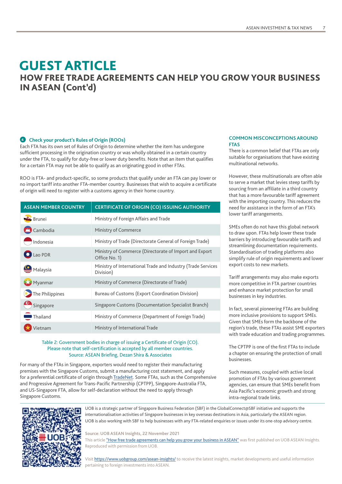### HOW FREE TRADE AGREEMENTS CAN HELP YOU GROW YOUR BUSINESS IN ASEAN (Cont'd) GUEST ARTICLE

### **4 Check your product's Rules of Origin (ROOs)**

Each FTA has its own set of Rules of Origin to determine whether the item has undergone sufficient processing in the origination country or was wholly obtained in a certain country under the FTA, to qualify for duty-free or lower duty benefits. Note that an item that qualifies for a certain FTA may not be able to qualify as an originating good in other FTAs.

ROO is FTA- and product-specific, so some products that qualify under an FTA can pay lower or no import tariff into another FTA-member country. Businesses that wish to acquire a certificate of origin will need to register with a customs agency in their home country.

| <b>ASEAN MEMBER COUNTRY</b> | <b>CERTIFICATE OF ORIGIN (CO) ISSUING AUTHORITY</b>                       |
|-----------------------------|---------------------------------------------------------------------------|
| <b>Brunei</b>               | Ministry of Foreign Affairs and Trade                                     |
| <b>T</b> Cambodia           | Ministry of Commerce                                                      |
| Indonesia                   | Ministry of Trade (Directorate General of Foreign Trade)                  |
| $\Box$ Lao PDR              | Ministry of Commerce (Directorate of Import and Export<br>Office No. 1)   |
| $\mathbf{S}$ Malaysia       | Ministry of International Trade and Industry (Trade Services<br>Division) |
| Myanmar                     | Ministry of Commerce (Directorate of Trade)                               |
| The Philippines             | <b>Bureau of Customs (Export Coordination Division)</b>                   |
| Singapore                   | Singapore Customs (Documentation Specialist Branch)                       |
| $\blacksquare$ Thailand     | Ministry of Commerce (Department of Foreign Trade)                        |
| ietnam                      | Ministry of International Trade                                           |

### Table 2: Government bodies in charge of issuing a Certificate of Origin (CO). Please note that self-certification is accepted by all member countries. Source: ASEAN Briefing, Dezan Shira & Associates

For many of the FTAs in Singapore, exporters would need to register their manufacturing premises with the Singapore Customs, submit a manufacturing cost statement, and apply for a preferential certificate of origin through [TradeNet](https://www.uob.com.sg/uobgroup/url-redirection.page?reURL=https://www.tradenet.gov.sg/tradenet/login.jsp&adobe_mc=MCMID%3D43444235945290342982978818982688821231%7CMCORGID%3D116168F454E6DA2A0A4C98A6%2540AdobeOrg%7CTS%3D1646299716). Some FTAs, such as the Comprehensive and Progressive Agreement for Trans-Pacific Partnership (CPTPP), Singapore-Australia FTA, and US-Singapore FTA, allow for self-declaration without the need to apply through Singapore Customs.

### **COMMON MISCONCEPTIONS AROUND FTAS**

There is a common belief that FTAs are only suitable for organisations that have existing multinational networks.

However, these multinationals are often able to serve a market that levies steep tariffs by sourcing from an affiliate in a third country that has a more favourable tariff agreement with the importing country. This reduces the need for assistance in the form of an FTA's lower tariff arrangements.

SMEs often do not have this global network to draw upon. FTAs help lower these trade barriers by introducing favourable tariffs and streamlining documentation requirements. Standardisation of trading platforms also simplify rule of origin requirements and lower export costs to new markets.

Tariff arrangements may also make exports more competitive in FTA partner countries and enhance market protection for small businesses in key industries.

In fact, several pioneering FTAs are building more inclusive provisions to support SMEs. Given that SMEs form the backbone of the region's trade, these FTAs assist SME exporters with trade education and trading programmes.

The CPTPP is one of the first FTAs to include a chapter on ensuring the protection of small businesses.

Such measures, coupled with active local promotion of FTAs by various government agencies, can ensure that SMEs benefit from Asia Pacific's economic growth and strong intra-regional trade links.



UOB is a strategic partner of Singapore Business Federation (SBF) in the GlobalConnect@SBF initiative and supports the internationalisation activities of Singapore businesses in key overseas destinations in Asia, particularly the ASEAN region. UOB is also working with SBF to help businesses with any FTA-related enquiries or issues under its one-stop advisory centre.

**Source: UOB ASEAN Insights, 22 November 2021**

This article ["How free trade agreements can help you grow your business in ASEAN"](https://www.uobgroup.com/asean-insights/markets/free-trade-agreements-asean.page?path=data/ai/68&cr=segment&s_cid=fdia:my:owned:onl:bdo:na:bu:url:na:280322-evergreen:bdo_my:bdo_malaysia_newsletter:na&vid=na) was first published on UOB ASEAN Insights. Reproduced with permission from UOB.

Visit [https://www.uobgroup.com/asean-insights/](https://www.uobgroup.com/asean-insights/index.page?s_cid=fdia:my:owned:onl:bdo:na:qr:na:na:280322-evergreen:bdo_my:bdo_malaysia_newsletter:na&vid=na) to receive the latest insights, market developments and useful information pertaining to foreign investments into ASEAN.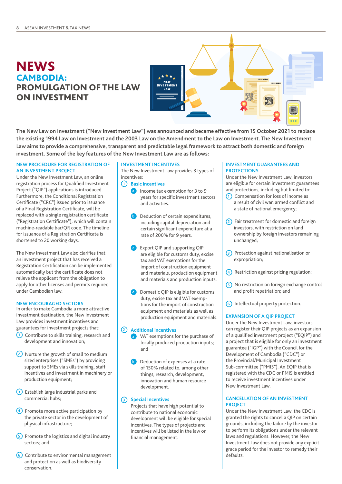### **NEWS** CAMBODIA: PROMULGATION OF THE LAW ON INVESTMENT



**The New Law on Investment ("New Investment Law") was announced and became effective from 15 October 2021 to replace the existing 1994 Law on Investment and the 2003 Law on the Amendment to the Law on Investment. The New Investment Law aims to provide a comprehensive, transparent and predictable legal framework to attract both domestic and foreign investment. Some of the key features of the New Investment Law are as follows:**

### **NEW PROCEDURE FOR REGISTRATION OF AN INVESTMENT PROJECT**

Under the New Investment Law, an online registration process for Qualified Investment Project ("QIP") applications is introduced. Furthermore, the Conditional Registration Certificate ("CRC") issued prior to issuance of a Final Registration Certificate, will be replaced with a single registration certificate ("Registration Certificate"), which will contain machine-readable bar/QR code. The timeline for issuance of a Registration Certificate is shortened to 20 working days.

The New Investment Law also clarifies that an investment project that has received a Registration Certification can be implemented automatically but the certificate does not relieve the applicant from the obligation to apply for other licenses and permits required under Cambodian law.

### **NEW ENCOURAGED SECTORS**

In order to make Cambodia a more attractive investment destination, the New Investment Law provides investment incentives and guarantees for investment projects that:

- **<sup>1</sup>** Contribute to skills training, research and development and innovation;
- **<sup>2</sup>** Nurture the growth of small to medium sized enterprises ("SMEs") by providing support to SMEs via skills training, staff incentives and investment in machinery or production equipment;
- **3** Establish large industrial parks and commercial hubs;
- **<sup>4</sup>** Promote more active participation by the private sector in the development of physical infrastructure;
- **<sup>5</sup>** Promote the logistics and digital industry sectors; and
- **<sup>6</sup>** Contribute to environmental management and protection as well as biodiversity conservation.

### **INVESTMENT INCENTIVES**

The New Investment Law provides 3 types of incentives:

### **1 Basic incentives**

- **a** Income tax exemption for 3 to 9 years for specific investment sectors and activities.
- **b** Deduction of certain expenditures, including capital depreciation and certain significant expenditure at a rate of 200% for 9 years.
- **c** Export QIP and supporting QIP are eligible for customs duty, excise tax and VAT exemptions for the import of construction equipment and materials, production equipment and materials and production inputs.
- **d** Domestic QIP is eligible for customs duty, excise tax and VAT exemptions for the import of construction equipment and materials as well as production equipment and materials.

### **2** Additional incentives

- **<sup>a</sup>** VAT exemptions for the purchase of locally produced production inputs; and
- **b** Deduction of expenses at a rate of 150% related to, among other things, research, development, innovation and human resource development.

### **3 Special Incentives**

Projects that have high potential to contribute to national economic development will be eligible for special incentives. The types of projects and incentives will be listed in the law on financial management.

### **INVESTMENT GUARANTEES AND PROTECTIONS**

Under the New Investment Law, investors are eligible for certain investment guarantees and protections, including but limited to:

- **<sup>1</sup>** Compensation for loss of income as a result of civil war, armed conflict and a state of national emergency;
- **<sup>2</sup>** Fair treatment for domestic and foreign investors, with restriction on land ownership by foreign investors remaining unchanged;
- **<sup>3</sup>** Protection against nationalisation or expropriation;
- **<sup>4</sup>** Restriction against pricing regulation;
- **<sup>5</sup>** No restriction on foreign exchange control and profit repatriation; and
- **<sup>6</sup>** Intellectual property protection.

### **EXPANSION OF A QIP PROJECT**

Under the New Investment Law, investors can register their QIP projects as an expansion of a qualified investment project ("EQIP") and a project that is eligible for only an investment guarantee ("IGP") with the Council for the Development of Cambodia ("CDC") or the Provincial/Municipal Investment Sub-committee ("PMIS"). An EQIP that is registered with the CDC or PMIS is entitled to receive investment incentives under New Investment Law.

### **CANCELLATION OF AN INVESTMENT PROJECT**

Under the New Investment Law, the CDC is granted the rights to cancel a QIP on certain grounds, including the failure by the investor to perform its obligations under the relevant laws and regulations. However, the New Investment Law does not provide any explicit grace period for the investor to remedy their defaults.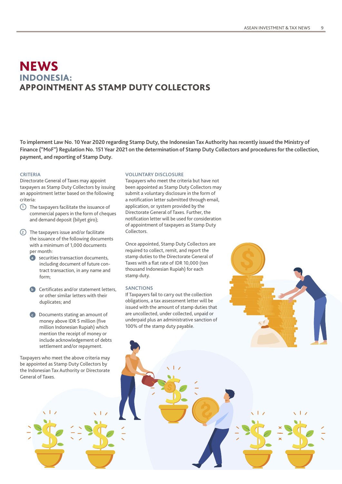### INDONESIA: APPOINTMENT AS STAMP DUTY COLLECTORS **NEWS**

**To implement Law No. 10 Year 2020 regarding Stamp Duty, the Indonesian Tax Authority has recently issued the Ministry of Finance ("MoF") Regulation No. 151 Year 2021 on the determination of Stamp Duty Collectors and procedures for the collection, payment, and reporting of Stamp Duty.**

### **CRITERIA**

Directorate General of Taxes may appoint taxpayers as Stamp Duty Collectors by issuing an appointment letter based on the following criteria:

- **<sup>1</sup>** The taxpayers facilitate the issuance of commercial papers in the form of cheques and demand deposit (bilyet giro);
- **<sup>2</sup>** The taxpayers issue and/or facilitate the issuance of the following documents with a minimum of 1,000 documents per month:
	- **a** securities transaction documents, including document of future contract transaction, in any name and form;
	- **b** Certificates and/or statement letters. or other similar letters with their duplicates; and
	- **<sup>c</sup>** Documents stating an amount of money above IDR 5 million (five million Indonesian Rupiah) which mention the receipt of money or include acknowledgement of debts settlement and/or repayment.

Taxpayers who meet the above criteria may be appointed as Stamp Duty Collectors by the Indonesian Tax Authority or Directorate General of Taxes.

### **VOLUNTARY DISCLOSURE**

Taxpayers who meet the criteria but have not been appointed as Stamp Duty Collectors may submit a voluntary disclosure in the form of a notification letter submitted through email, application, or system provided by the Directorate General of Taxes. Further, the notification letter will be used for consideration of appointment of taxpayers as Stamp Duty Collectors.

Once appointed, Stamp Duty Collectors are required to collect, remit, and report the stamp duties to the Directorate General of Taxes with a flat rate of IDR 10,000 (ten thousand Indonesian Rupiah) for each stamp duty.

#### **SANCTIONS**

If Taxpayers fail to carry out the collection obligations, a tax assessment letter will be issued with the amount of stamp duties that are uncollected, under collected, unpaid or underpaid plus an administrative sanction of 100% of the stamp duty payable.

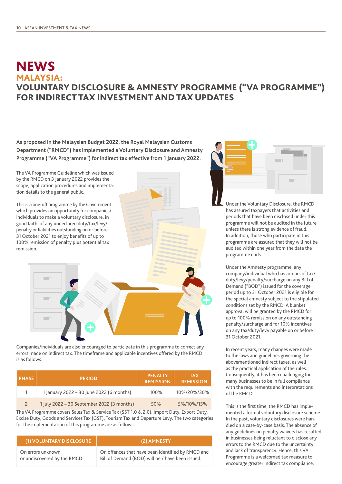### **NEWS** MALAYSIA: VOLUNTARY DISCLOSURE & AMNESTY PROGRAMME ("VA PROGRAMME") FOR INDIRECT TAX INVESTMENT AND TAX UPDATES

**As proposed in the Malaysian Budget 2022, the Royal Malaysian Customs Department ("RMCD") has implemented a Voluntary Disclosure and Amnesty Programme ("VA Programme") for indirect tax effective from 1 January 2022.**



Companies/individuals are also encouraged to participate in this programme to correct any errors made on indirect tax. The timeframe and applicable incentives offered by the RMCD is as follows:

| <b>PHASE</b> | <b>PERIOD</b>                              | <b>PENALTY</b><br><b>REMISSION</b> | <b>TAX</b><br><b>REMISSION</b> |
|--------------|--------------------------------------------|------------------------------------|--------------------------------|
|              | 1 January 2022 - 30 June 2022 (6 months)   | 100%                               | 10%/20%/30%                    |
|              | 1 July 2022 - 30 September 2022 (3 months) | 50%                                | 5%/10%/15%                     |

The VA Programme covers Sales Tax & Service Tax (SST 1.0 & 2.0), Import Duty, Export Duty, Excise Duty, Goods and Services Tax (GST), Tourism Tax and Departure Levy. The two categories for the implementation of this programme are as follows:

| (1) VOLUNTARY DISCLOSURE     | (2) AMNESTY                                       |
|------------------------------|---------------------------------------------------|
| On errors unknown            | On offences that have been identified by RMCD and |
| or undiscovered by the RMCD. | Bill of Demand (BOD) will be / have been issued.  |



Under the Voluntary Disclosure, the RMCD has assured taxpayers that activities and periods that have been disclosed under this programme will not be audited in the future unless there is strong evidence of fraud. In addition, those who participate in this programme are assured that they will not be audited within one year from the date the programme ends.

Under the Amnesty programme, any company/individual who has arrears of tax/ duty/levy/penalty/surcharge on any Bill of Demand ("BOD") issued for the coverage period up to 31 October 2021 is eligible for the special amnesty subject to the stipulated conditions set by the RMCD. A blanket approval will be granted by the RMCD for up to 100% remission on any outstanding penalty/surcharge and for 10% incentives on any tax/duty/levy payable on or before 31 October 2021.

In recent years, many changes were made to the laws and guidelines governing the abovementioned indirect taxes, as well as the practical application of the rules. Consequently, it has been challenging for many businesses to be in full compliance with the requirements and interpretations of the RMCD.

This is the first time, the RMCD has implemented a formal voluntary disclosure scheme. In the past, voluntary disclosures were handled on a case-by-case basis. The absence of any guidelines on penalty waivers has resulted in businesses being reluctant to disclose any errors to the RMCD due to the uncertainty and lack of transparency. Hence, this VA Programme is a welcomed tax measure to encourage greater indirect tax compliance.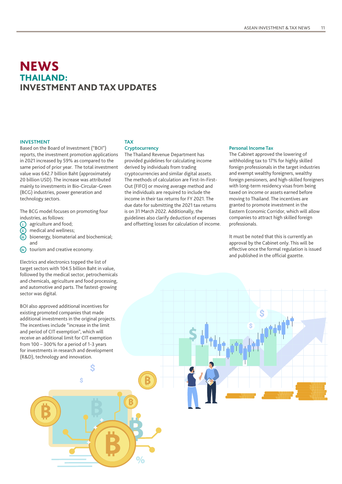### **NEWS** THAILAND: INVESTMENT AND TAX UPDATES

### **INVESTMENT**

Based on the Board of Investment ("BOI") reports, the investment promotion applications in 2021 increased by 59% as compared to the same period of prior year. The total investment value was 642.7 billion Baht (approximately 20 billion USD). The increase was attributed mainly to investments in Bio-Circular-Green (BCG) industries, power generation and technology sectors.

The BCG model focuses on promoting four industries, as follows:

- 
- **i** agriculture and food;<br>**ii** ) medical and wellness
- **ii** medical and wellness;<br>**iii** bioenergy, biomaterial bioenergy, biomaterial and biochemical; and
- *(iv)* tourism and creative economy.

Electrics and electronics topped the list of target sectors with 104.5 billion Baht in value, followed by the medical sector, petrochemicals and chemicals, agriculture and food processing, and automotive and parts. The fastest-growing sector was digital.

BOI also approved additional incentives for existing promoted companies that made additional investments in the original projects. The incentives include "increase in the limit and period of CIT exemption", which will receive an additional limit for CIT exemption from 100 – 300% for a period of 1-3 years for investments in research and development (R&D), technology and innovation.

Ś

### **TAX**

**Cryptocurrency**

The Thailand Revenue Department has provided guidelines for calculating income derived by individuals from trading cryptocurrencies and similar digital assets. The methods of calculation are First-In-First-Out (FIFO) or moving average method and the individuals are required to include the income in their tax returns for FY 2021. The due date for submitting the 2021 tax returns is on 31 March 2022. Additionally, the guidelines also clarify deduction of expenses and offsetting losses for calculation of income.

#### **Personal Income Tax**

The Cabinet approved the lowering of withholding tax to 17% for highly skilled foreign professionals in the target industries and exempt wealthy foreigners, wealthy foreign pensioners, and high-skilled foreigners with long-term residency visas from being taxed on income or assets earned before moving to Thailand. The incentives are granted to promote investment in the Eastern Economic Corridor, which will allow companies to attract high skilled foreign professionals.

It must be noted that this is currently an approval by the Cabinet only. This will be effective once the formal regulation is issued and published in the official gazette.